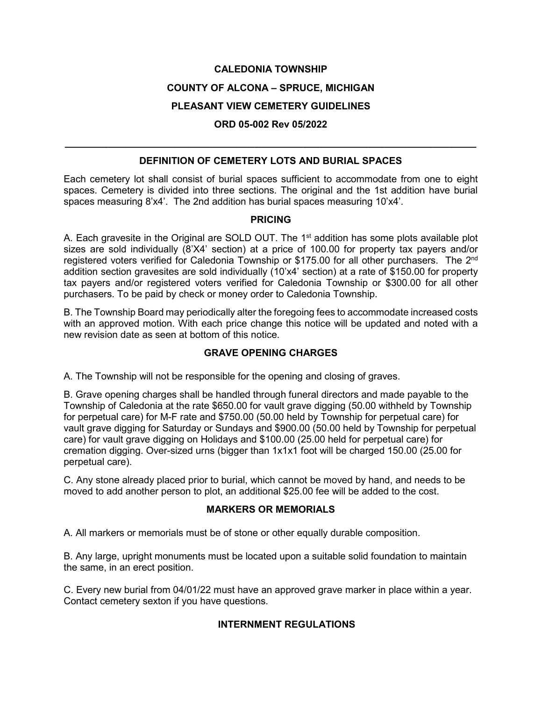# **CALEDONIA TOWNSHIP COUNTY OF ALCONA – SPRUCE, MICHIGAN PLEASANT VIEW CEMETERY GUIDELINES**

# **\_\_\_\_\_\_\_\_\_\_\_\_\_\_\_\_\_\_\_\_\_\_\_\_\_\_\_\_\_\_\_\_\_\_\_\_\_\_\_\_\_\_\_\_\_\_\_\_\_\_\_\_\_\_\_\_\_\_\_\_\_\_\_\_\_\_\_\_\_\_\_\_\_\_\_\_ DEFINITION OF CEMETERY LOTS AND BURIAL SPACES**

**ORD 05-002 Rev 05/2022**

Each cemetery lot shall consist of burial spaces sufficient to accommodate from one to eight spaces. Cemetery is divided into three sections. The original and the 1st addition have burial spaces measuring 8'x4'. The 2nd addition has burial spaces measuring 10'x4'.

#### **PRICING**

A. Each gravesite in the Original are SOLD OUT. The  $1<sup>st</sup>$  addition has some plots available plot sizes are sold individually (8'X4' section) at a price of 100.00 for property tax payers and/or registered voters verified for Caledonia Township or \$175.00 for all other purchasers. The 2<sup>nd</sup> addition section gravesites are sold individually (10'x4' section) at a rate of \$150.00 for property tax payers and/or registered voters verified for Caledonia Township or \$300.00 for all other purchasers. To be paid by check or money order to Caledonia Township.

B. The Township Board may periodically alter the foregoing fees to accommodate increased costs with an approved motion. With each price change this notice will be updated and noted with a new revision date as seen at bottom of this notice.

# **GRAVE OPENING CHARGES**

A. The Township will not be responsible for the opening and closing of graves.

B. Grave opening charges shall be handled through funeral directors and made payable to the Township of Caledonia at the rate \$650.00 for vault grave digging (50.00 withheld by Township for perpetual care) for M-F rate and \$750.00 (50.00 held by Township for perpetual care) for vault grave digging for Saturday or Sundays and \$900.00 (50.00 held by Township for perpetual care) for vault grave digging on Holidays and \$100.00 (25.00 held for perpetual care) for cremation digging. Over-sized urns (bigger than 1x1x1 foot will be charged 150.00 (25.00 for perpetual care).

C. Any stone already placed prior to burial, which cannot be moved by hand, and needs to be moved to add another person to plot, an additional \$25.00 fee will be added to the cost.

# **MARKERS OR MEMORIALS**

A. All markers or memorials must be of stone or other equally durable composition.

B. Any large, upright monuments must be located upon a suitable solid foundation to maintain the same, in an erect position.

C. Every new burial from 04/01/22 must have an approved grave marker in place within a year. Contact cemetery sexton if you have questions.

# **INTERNMENT REGULATIONS**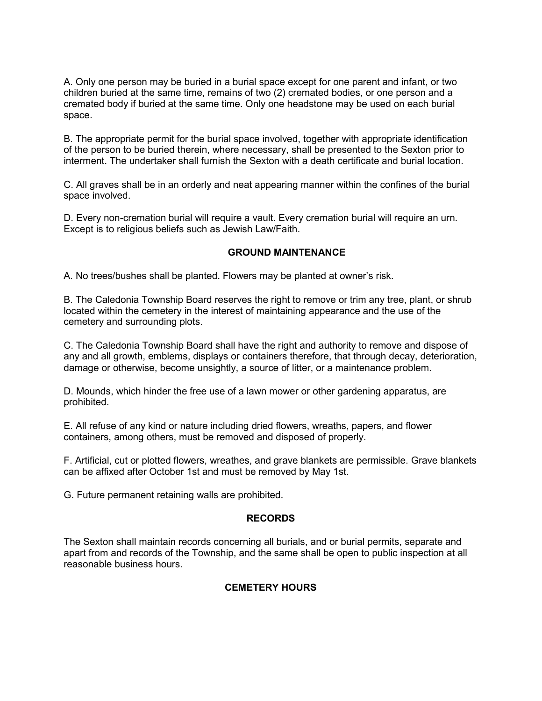A. Only one person may be buried in a burial space except for one parent and infant, or two children buried at the same time, remains of two (2) cremated bodies, or one person and a cremated body if buried at the same time. Only one headstone may be used on each burial space.

B. The appropriate permit for the burial space involved, together with appropriate identification of the person to be buried therein, where necessary, shall be presented to the Sexton prior to interment. The undertaker shall furnish the Sexton with a death certificate and burial location.

C. All graves shall be in an orderly and neat appearing manner within the confines of the burial space involved.

D. Every non-cremation burial will require a vault. Every cremation burial will require an urn. Except is to religious beliefs such as Jewish Law/Faith.

#### **GROUND MAINTENANCE**

A. No trees/bushes shall be planted. Flowers may be planted at owner's risk.

B. The Caledonia Township Board reserves the right to remove or trim any tree, plant, or shrub located within the cemetery in the interest of maintaining appearance and the use of the cemetery and surrounding plots.

C. The Caledonia Township Board shall have the right and authority to remove and dispose of any and all growth, emblems, displays or containers therefore, that through decay, deterioration, damage or otherwise, become unsightly, a source of litter, or a maintenance problem.

D. Mounds, which hinder the free use of a lawn mower or other gardening apparatus, are prohibited.

E. All refuse of any kind or nature including dried flowers, wreaths, papers, and flower containers, among others, must be removed and disposed of properly.

F. Artificial, cut or plotted flowers, wreathes, and grave blankets are permissible. Grave blankets can be affixed after October 1st and must be removed by May 1st.

G. Future permanent retaining walls are prohibited.

#### **RECORDS**

The Sexton shall maintain records concerning all burials, and or burial permits, separate and apart from and records of the Township, and the same shall be open to public inspection at all reasonable business hours.

#### **CEMETERY HOURS**